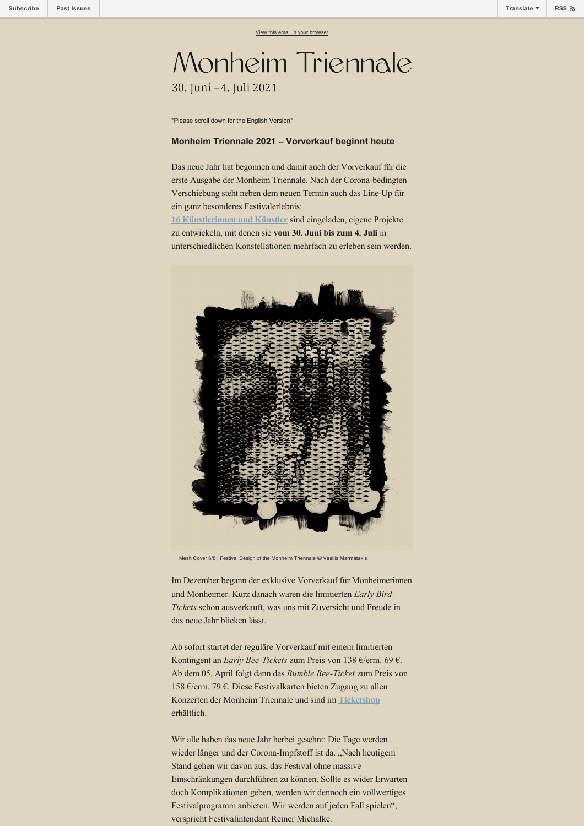## Monheim Triennale 30. Juni - 4. Juli 2021

\*Please scroll down for the English Version\*

## **Monheim Triennale 2021 – Vorverkauf beginnt heute**

Das neue Jahr hat begonnen und damit auch der Vorverkauf für die erste Ausgabe der Monheim Triennale. Nach der Corona-bedingten Verschiebung steht neben dem neuen Termin auch das Line-Up für ein ganz besonderes Festivalerlebnis:

**[16 Künstlerinnen und Künstler](https://www.monheim-triennale.de/de/artists)** sind eingeladen, eigene Projekte zu entwickeln, mit denen sie **vom 30. Juni bis zum 4. Juli** in unterschiedlichen Konstellationen mehrfach zu erleben sein werden.



Mesh Cover 6/8 | Festival Design of the Monheim Triennale © Vasilis Marmatakis

Im Dezember begann der exklusive Vorverkauf für Monheimerinnen und Monheimer. Kurz danach waren die limitierten *Early Bird-Tickets* schon ausverkauft, was uns mit Zuversicht und Freude in das neue Jahr blicken lässt.

Ab sofort startet der reguläre Vorverkauf mit einem limitierten Kontingent an *Early Bee-Tickets* zum Preis von 138 €/erm. 69 €. Ab dem 05. April folgt dann das *Bumble Bee-Ticket* zum Preis von 158 €/erm. 79 €. Diese Festivalkarten bieten Zugang zu allen Konzerten der Monheim Triennale und sind im **[Ticketshop](https://monheim-triennale.de/de/tickets)** erhältlich.

Wir alle haben das neue Jahr herbei gesehnt: Die Tage werden wieder länger und der Corona-Impfstoff ist da. "Nach heutigem Stand gehen wir davon aus, das Festival ohne massive Einschränkungen durchführen zu können. Sollte es wider Erwarten doch Komplikationen geben, werden wir dennoch ein vollwertiges Festivalprogramm anbieten. Wir werden auf jeden Fall spielen", verspricht Festivalintendant Reiner Michalke.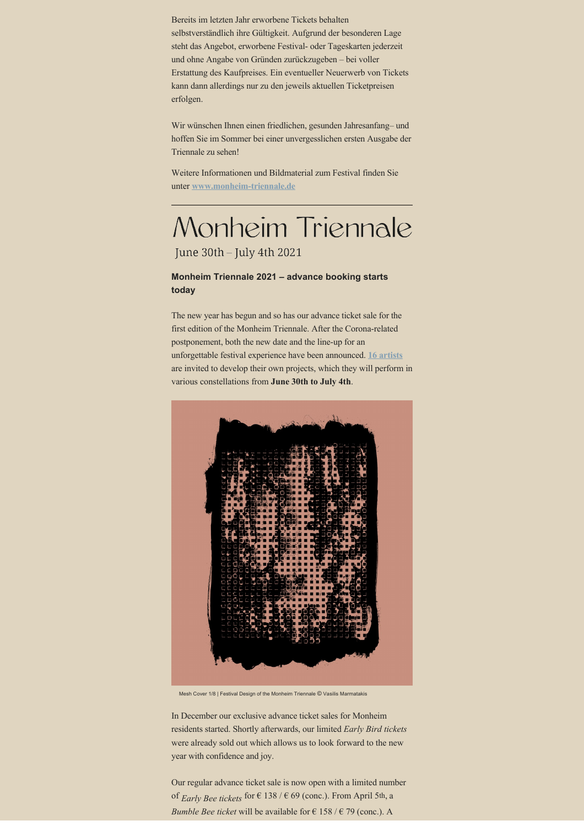Bereits im letzten Jahr erworbene Tickets behalten selbstverständlich ihre Gültigkeit. Aufgrund der besonderen Lage steht das Angebot, erworbene Festival- oder Tageskarten jederzeit und ohne Angabe von Gründen zurückzugeben – bei voller Erstattung des Kaufpreises. Ein eventueller Neuerwerb von Tickets kann dann allerdings nur zu den jeweils aktuellen Ticketpreisen erfolgen.

Wir wünschen Ihnen einen friedlichen, gesunden Jahresanfang– und hoffen Sie im Sommer bei einer unvergesslichen ersten Ausgabe der Triennale zu sehen!

Weitere Informationen und Bildmaterial zum Festival finden Sie unter **[www.monheim-triennale.de](http://www.monheim-triennale.de)**

## Monheim Triennale

June 30th - July 4th 2021

## **Monheim Triennale 2021 – advance booking starts today**

The new year has begun and so has our advance ticket sale for the first edition of the Monheim Triennale. After the Corona-related postponement, both the new date and the line-up for an unforgettable festival experience have been announced. **[16 artists](https://monheim-triennale.de/en/artists)** are invited to develop their own projects, which they will perform in various constellations from **June 30th to July 4th**.



Mesh Cover 1/8 | Festival Design of the Monheim Triennale © Vasilis Marmatakis

In December our exclusive advance ticket sales for Monheim residents started. Shortly afterwards, our limited *Early Bird tickets* were already sold out which allows us to look forward to the new year with confidence and joy.

Our regular advance ticket sale is now open with a limited number of *Early Bee tickets* for  $\in$  138 /  $\in$  69 (conc.). From April 5th, a *Bumble Bee ticket* will be available for  $\epsilon$  158 /  $\epsilon$  79 (conc.). A